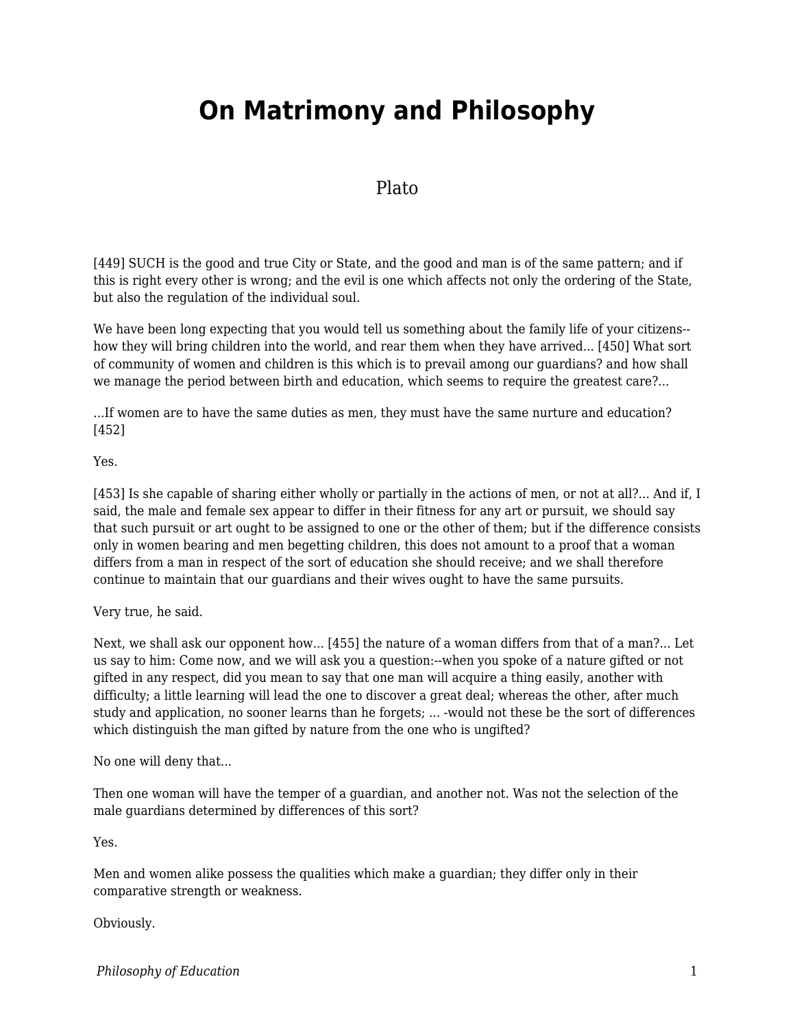# **On Matrimony and Philosophy**

## Plato

[449] SUCH is the good and true City or State, and the good and man is of the same pattern; and if this is right every other is wrong; and the evil is one which affects not only the ordering of the State, but also the regulation of the individual soul.

We have been long expecting that you would tell us something about the family life of your citizens- how they will bring children into the world, and rear them when they have arrived... [450] What sort of community of women and children is this which is to prevail among our guardians? and how shall we manage the period between birth and education, which seems to require the greatest care?...

...If women are to have the same duties as men, they must have the same nurture and education? [452]

#### Yes.

[453] Is she capable of sharing either wholly or partially in the actions of men, or not at all?... And if, I said, the male and female sex appear to differ in their fitness for any art or pursuit, we should say that such pursuit or art ought to be assigned to one or the other of them; but if the difference consists only in women bearing and men begetting children, this does not amount to a proof that a woman differs from a man in respect of the sort of education she should receive; and we shall therefore continue to maintain that our guardians and their wives ought to have the same pursuits.

#### Very true, he said.

Next, we shall ask our opponent how... [455] the nature of a woman differs from that of a man?... Let us say to him: Come now, and we will ask you a question:--when you spoke of a nature gifted or not gifted in any respect, did you mean to say that one man will acquire a thing easily, another with difficulty; a little learning will lead the one to discover a great deal; whereas the other, after much study and application, no sooner learns than he forgets; ... -would not these be the sort of differences which distinguish the man gifted by nature from the one who is ungifted?

No one will deny that...

Then one woman will have the temper of a guardian, and another not. Was not the selection of the male guardians determined by differences of this sort?

Yes.

Men and women alike possess the qualities which make a guardian; they differ only in their comparative strength or weakness.

Obviously.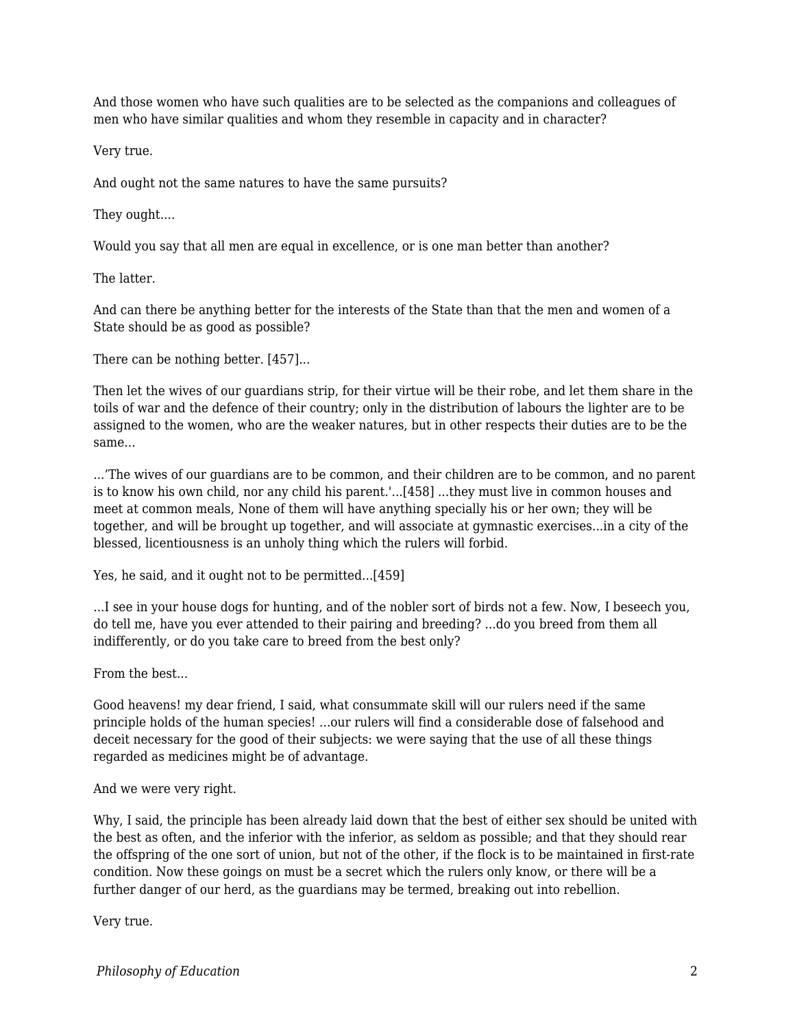And those women who have such qualities are to be selected as the companions and colleagues of men who have similar qualities and whom they resemble in capacity and in character?

Very true.

And ought not the same natures to have the same pursuits?

They ought....

Would you say that all men are equal in excellence, or is one man better than another?

The latter.

And can there be anything better for the interests of the State than that the men and women of a State should be as good as possible?

There can be nothing better. [457]...

Then let the wives of our guardians strip, for their virtue will be their robe, and let them share in the toils of war and the defence of their country; only in the distribution of labours the lighter are to be assigned to the women, who are the weaker natures, but in other respects their duties are to be the same...

...'The wives of our guardians are to be common, and their children are to be common, and no parent is to know his own child, nor any child his parent.'...[458] ...they must live in common houses and meet at common meals, None of them will have anything specially his or her own; they will be together, and will be brought up together, and will associate at gymnastic exercises...in a city of the blessed, licentiousness is an unholy thing which the rulers will forbid.

Yes, he said, and it ought not to be permitted...[459]

...I see in your house dogs for hunting, and of the nobler sort of birds not a few. Now, I beseech you, do tell me, have you ever attended to their pairing and breeding? ...do you breed from them all indifferently, or do you take care to breed from the best only?

From the best...

Good heavens! my dear friend, I said, what consummate skill will our rulers need if the same principle holds of the human species! ...our rulers will find a considerable dose of falsehood and deceit necessary for the good of their subjects: we were saying that the use of all these things regarded as medicines might be of advantage.

And we were very right.

Why, I said, the principle has been already laid down that the best of either sex should be united with the best as often, and the inferior with the inferior, as seldom as possible; and that they should rear the offspring of the one sort of union, but not of the other, if the flock is to be maintained in first-rate condition. Now these goings on must be a secret which the rulers only know, or there will be a further danger of our herd, as the guardians may be termed, breaking out into rebellion.

Very true.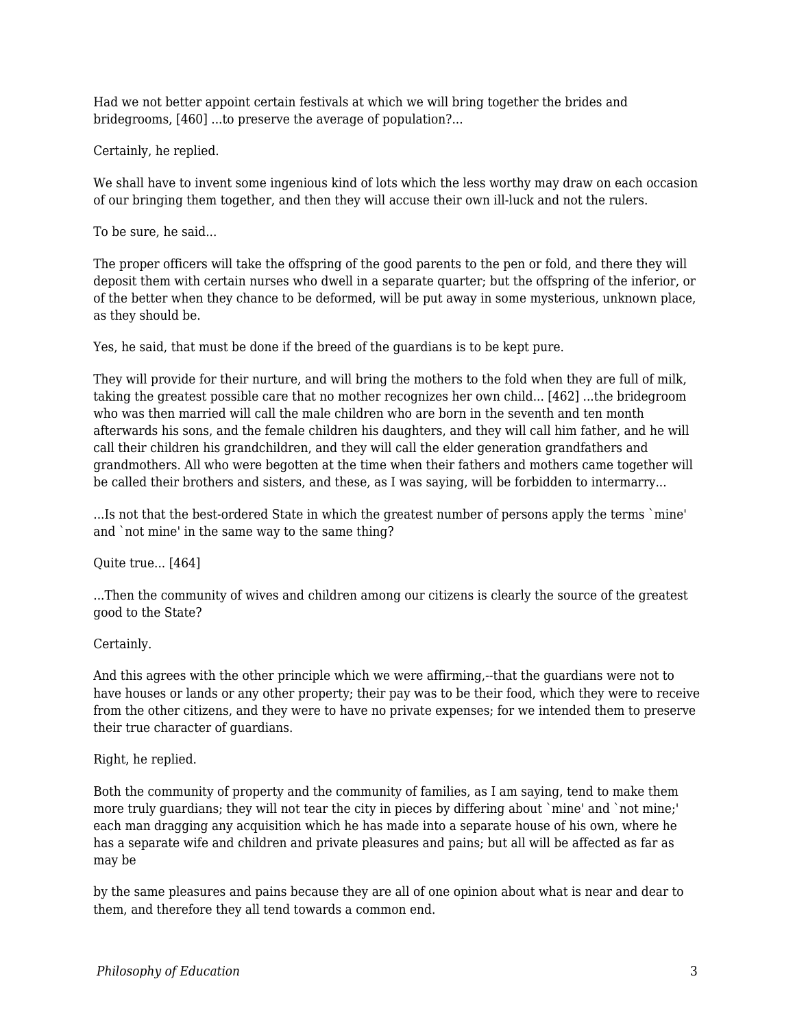Had we not better appoint certain festivals at which we will bring together the brides and bridegrooms, [460] ...to preserve the average of population?...

Certainly, he replied.

We shall have to invent some ingenious kind of lots which the less worthy may draw on each occasion of our bringing them together, and then they will accuse their own ill-luck and not the rulers.

To be sure, he said...

The proper officers will take the offspring of the good parents to the pen or fold, and there they will deposit them with certain nurses who dwell in a separate quarter; but the offspring of the inferior, or of the better when they chance to be deformed, will be put away in some mysterious, unknown place, as they should be.

Yes, he said, that must be done if the breed of the guardians is to be kept pure.

They will provide for their nurture, and will bring the mothers to the fold when they are full of milk, taking the greatest possible care that no mother recognizes her own child... [462] ...the bridegroom who was then married will call the male children who are born in the seventh and ten month afterwards his sons, and the female children his daughters, and they will call him father, and he will call their children his grandchildren, and they will call the elder generation grandfathers and grandmothers. All who were begotten at the time when their fathers and mothers came together will be called their brothers and sisters, and these, as I was saying, will be forbidden to intermarry...

...Is not that the best-ordered State in which the greatest number of persons apply the terms `mine' and `not mine' in the same way to the same thing?

Quite true... [464]

...Then the community of wives and children among our citizens is clearly the source of the greatest good to the State?

Certainly.

And this agrees with the other principle which we were affirming,--that the guardians were not to have houses or lands or any other property; their pay was to be their food, which they were to receive from the other citizens, and they were to have no private expenses; for we intended them to preserve their true character of guardians.

Right, he replied.

Both the community of property and the community of families, as I am saying, tend to make them more truly guardians; they will not tear the city in pieces by differing about `mine' and `not mine;' each man dragging any acquisition which he has made into a separate house of his own, where he has a separate wife and children and private pleasures and pains; but all will be affected as far as may be

by the same pleasures and pains because they are all of one opinion about what is near and dear to them, and therefore they all tend towards a common end.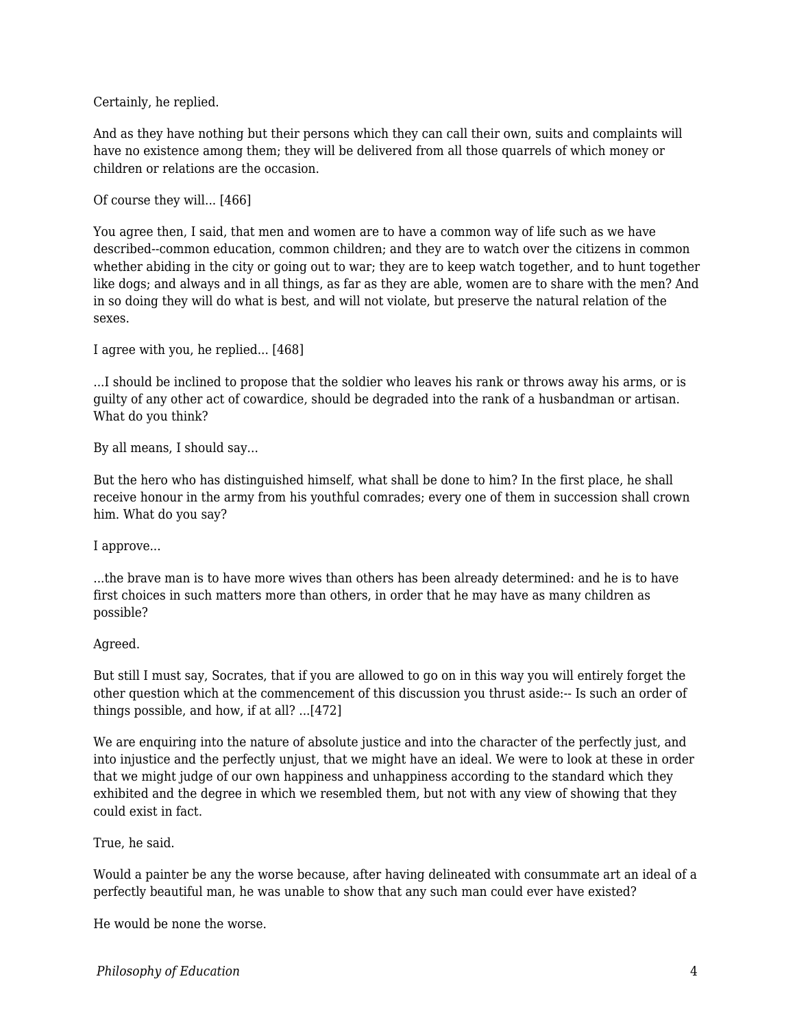Certainly, he replied.

And as they have nothing but their persons which they can call their own, suits and complaints will have no existence among them; they will be delivered from all those quarrels of which money or children or relations are the occasion.

Of course they will... [466]

You agree then, I said, that men and women are to have a common way of life such as we have described--common education, common children; and they are to watch over the citizens in common whether abiding in the city or going out to war; they are to keep watch together, and to hunt together like dogs; and always and in all things, as far as they are able, women are to share with the men? And in so doing they will do what is best, and will not violate, but preserve the natural relation of the sexes.

I agree with you, he replied... [468]

...I should be inclined to propose that the soldier who leaves his rank or throws away his arms, or is guilty of any other act of cowardice, should be degraded into the rank of a husbandman or artisan. What do you think?

By all means, I should say...

But the hero who has distinguished himself, what shall be done to him? In the first place, he shall receive honour in the army from his youthful comrades; every one of them in succession shall crown him. What do you say?

I approve...

...the brave man is to have more wives than others has been already determined: and he is to have first choices in such matters more than others, in order that he may have as many children as possible?

### Agreed.

But still I must say, Socrates, that if you are allowed to go on in this way you will entirely forget the other question which at the commencement of this discussion you thrust aside:-- Is such an order of things possible, and how, if at all? ...[472]

We are enquiring into the nature of absolute justice and into the character of the perfectly just, and into injustice and the perfectly unjust, that we might have an ideal. We were to look at these in order that we might judge of our own happiness and unhappiness according to the standard which they exhibited and the degree in which we resembled them, but not with any view of showing that they could exist in fact.

True, he said.

Would a painter be any the worse because, after having delineated with consummate art an ideal of a perfectly beautiful man, he was unable to show that any such man could ever have existed?

He would be none the worse.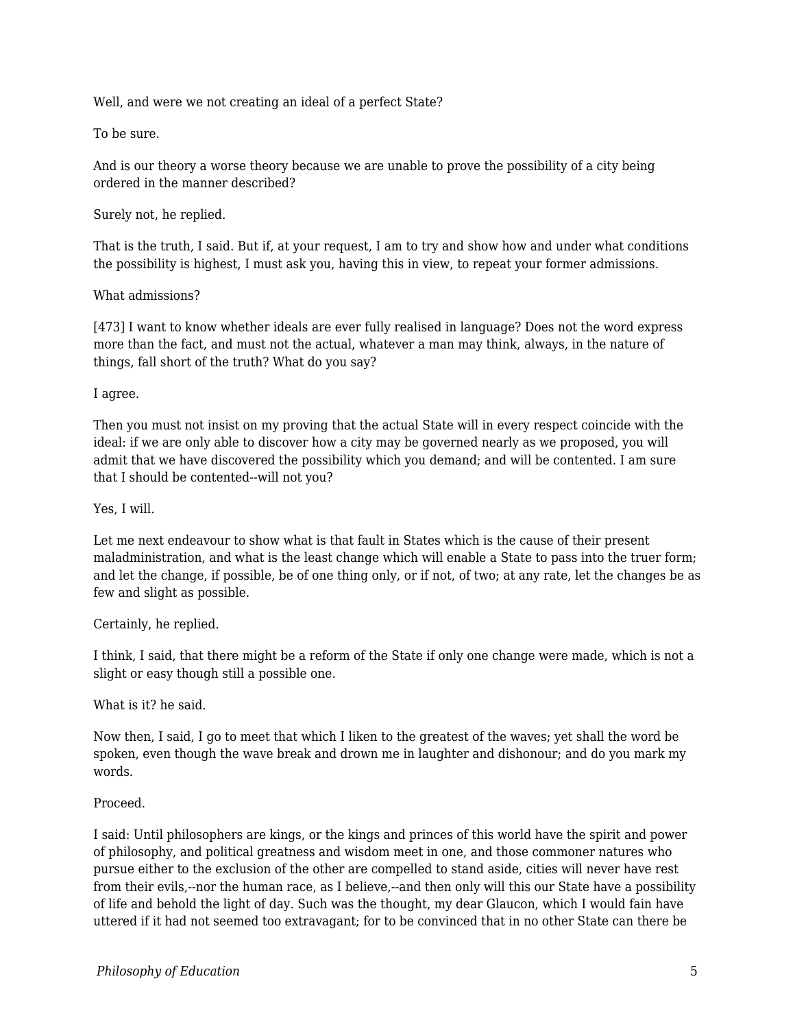Well, and were we not creating an ideal of a perfect State?

To be sure.

And is our theory a worse theory because we are unable to prove the possibility of a city being ordered in the manner described?

Surely not, he replied.

That is the truth, I said. But if, at your request, I am to try and show how and under what conditions the possibility is highest, I must ask you, having this in view, to repeat your former admissions.

What admissions?

[473] I want to know whether ideals are ever fully realised in language? Does not the word express more than the fact, and must not the actual, whatever a man may think, always, in the nature of things, fall short of the truth? What do you say?

I agree.

Then you must not insist on my proving that the actual State will in every respect coincide with the ideal: if we are only able to discover how a city may be governed nearly as we proposed, you will admit that we have discovered the possibility which you demand; and will be contented. I am sure that I should be contented--will not you?

Yes, I will.

Let me next endeavour to show what is that fault in States which is the cause of their present maladministration, and what is the least change which will enable a State to pass into the truer form; and let the change, if possible, be of one thing only, or if not, of two; at any rate, let the changes be as few and slight as possible.

Certainly, he replied.

I think, I said, that there might be a reform of the State if only one change were made, which is not a slight or easy though still a possible one.

What is it? he said.

Now then, I said, I go to meet that which I liken to the greatest of the waves; yet shall the word be spoken, even though the wave break and drown me in laughter and dishonour; and do you mark my words.

#### Proceed.

I said: Until philosophers are kings, or the kings and princes of this world have the spirit and power of philosophy, and political greatness and wisdom meet in one, and those commoner natures who pursue either to the exclusion of the other are compelled to stand aside, cities will never have rest from their evils,--nor the human race, as I believe,--and then only will this our State have a possibility of life and behold the light of day. Such was the thought, my dear Glaucon, which I would fain have uttered if it had not seemed too extravagant; for to be convinced that in no other State can there be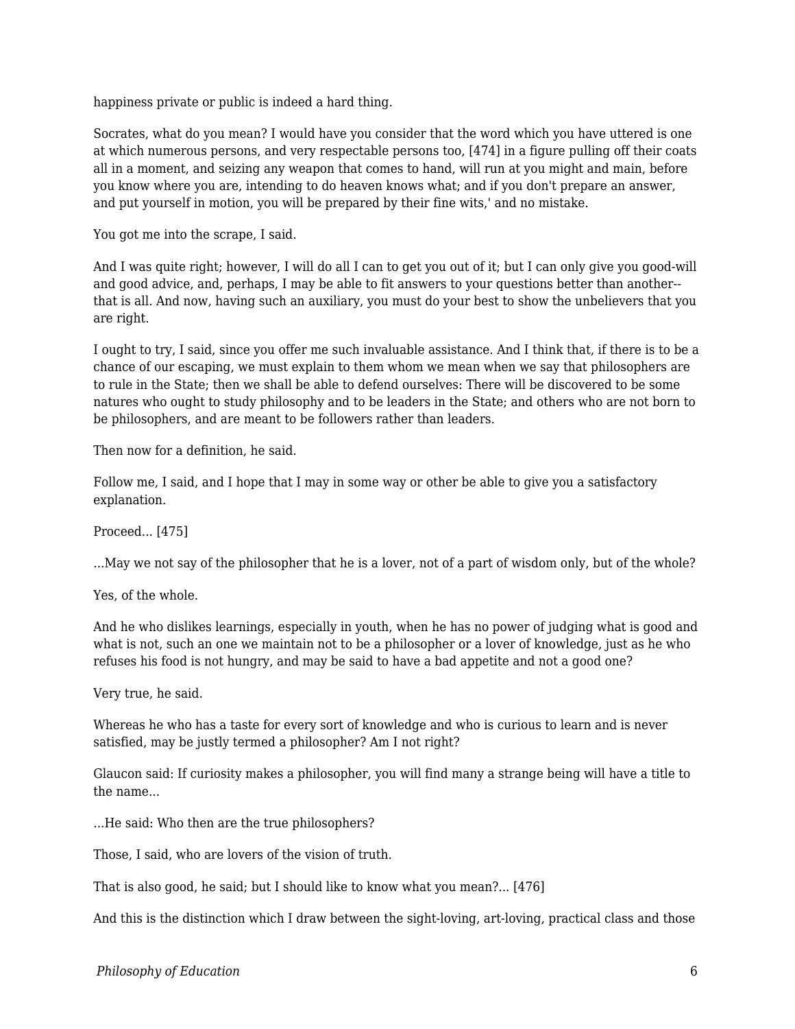happiness private or public is indeed a hard thing.

Socrates, what do you mean? I would have you consider that the word which you have uttered is one at which numerous persons, and very respectable persons too, [474] in a figure pulling off their coats all in a moment, and seizing any weapon that comes to hand, will run at you might and main, before you know where you are, intending to do heaven knows what; and if you don't prepare an answer, and put yourself in motion, you will be prepared by their fine wits,' and no mistake.

You got me into the scrape, I said.

And I was quite right; however, I will do all I can to get you out of it; but I can only give you good-will and good advice, and, perhaps, I may be able to fit answers to your questions better than another- that is all. And now, having such an auxiliary, you must do your best to show the unbelievers that you are right.

I ought to try, I said, since you offer me such invaluable assistance. And I think that, if there is to be a chance of our escaping, we must explain to them whom we mean when we say that philosophers are to rule in the State; then we shall be able to defend ourselves: There will be discovered to be some natures who ought to study philosophy and to be leaders in the State; and others who are not born to be philosophers, and are meant to be followers rather than leaders.

Then now for a definition, he said.

Follow me, I said, and I hope that I may in some way or other be able to give you a satisfactory explanation.

Proceed... [475]

...May we not say of the philosopher that he is a lover, not of a part of wisdom only, but of the whole?

Yes, of the whole.

And he who dislikes learnings, especially in youth, when he has no power of judging what is good and what is not, such an one we maintain not to be a philosopher or a lover of knowledge, just as he who refuses his food is not hungry, and may be said to have a bad appetite and not a good one?

Very true, he said.

Whereas he who has a taste for every sort of knowledge and who is curious to learn and is never satisfied, may be justly termed a philosopher? Am I not right?

Glaucon said: If curiosity makes a philosopher, you will find many a strange being will have a title to the name...

...He said: Who then are the true philosophers?

Those, I said, who are lovers of the vision of truth.

That is also good, he said; but I should like to know what you mean?... [476]

And this is the distinction which I draw between the sight-loving, art-loving, practical class and those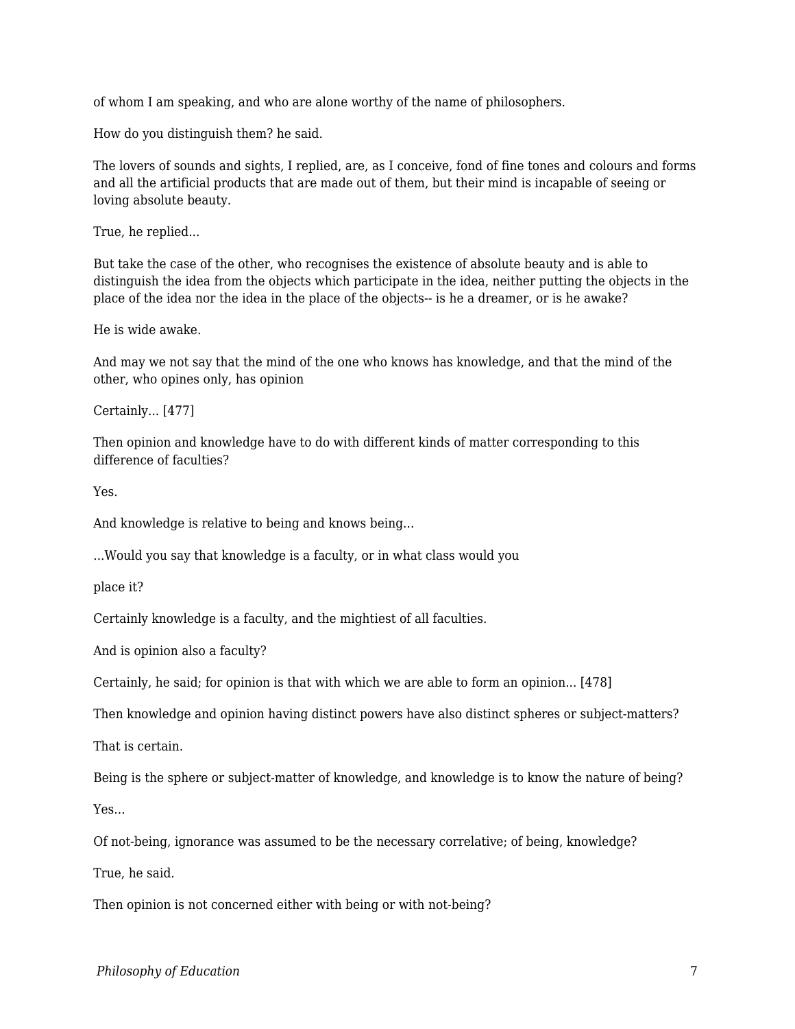of whom I am speaking, and who are alone worthy of the name of philosophers.

How do you distinguish them? he said.

The lovers of sounds and sights, I replied, are, as I conceive, fond of fine tones and colours and forms and all the artificial products that are made out of them, but their mind is incapable of seeing or loving absolute beauty.

True, he replied...

But take the case of the other, who recognises the existence of absolute beauty and is able to distinguish the idea from the objects which participate in the idea, neither putting the objects in the place of the idea nor the idea in the place of the objects-- is he a dreamer, or is he awake?

He is wide awake.

And may we not say that the mind of the one who knows has knowledge, and that the mind of the other, who opines only, has opinion

Certainly... [477]

Then opinion and knowledge have to do with different kinds of matter corresponding to this difference of faculties?

Yes.

And knowledge is relative to being and knows being...

...Would you say that knowledge is a faculty, or in what class would you

place it?

Certainly knowledge is a faculty, and the mightiest of all faculties.

And is opinion also a faculty?

Certainly, he said; for opinion is that with which we are able to form an opinion... [478]

Then knowledge and opinion having distinct powers have also distinct spheres or subject-matters?

That is certain.

Being is the sphere or subject-matter of knowledge, and knowledge is to know the nature of being?

Yes...

Of not-being, ignorance was assumed to be the necessary correlative; of being, knowledge?

True, he said.

Then opinion is not concerned either with being or with not-being?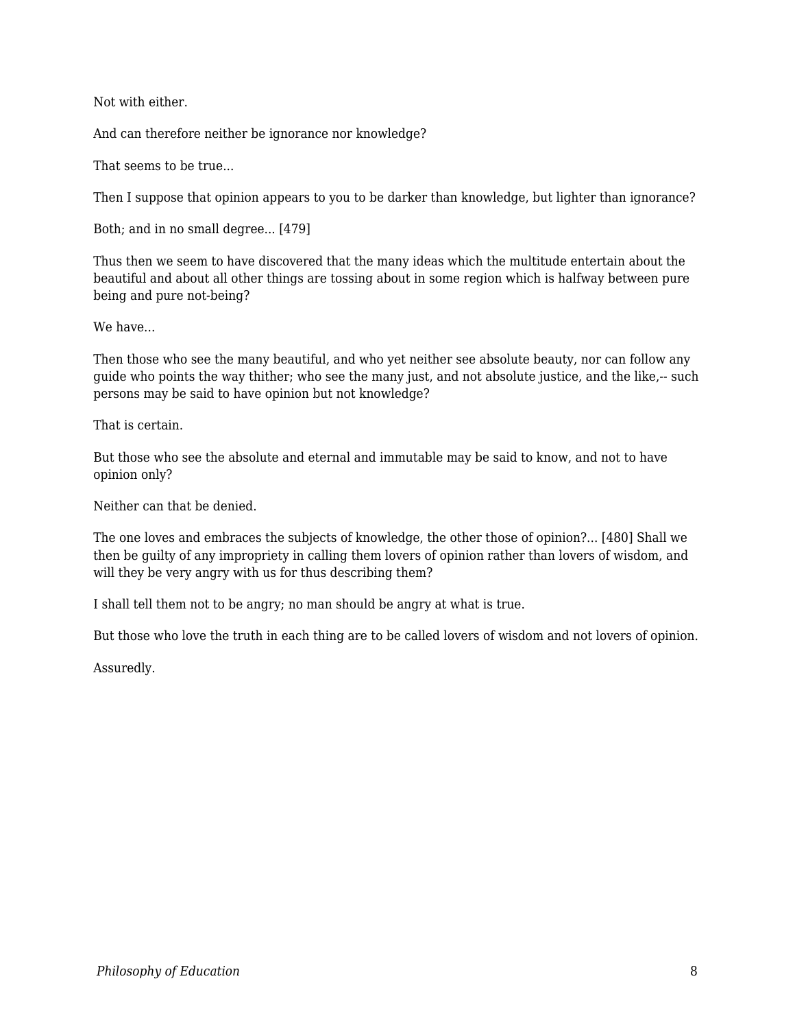Not with either.

And can therefore neither be ignorance nor knowledge?

That seems to be true...

Then I suppose that opinion appears to you to be darker than knowledge, but lighter than ignorance?

Both; and in no small degree... [479]

Thus then we seem to have discovered that the many ideas which the multitude entertain about the beautiful and about all other things are tossing about in some region which is halfway between pure being and pure not-being?

We have...

Then those who see the many beautiful, and who yet neither see absolute beauty, nor can follow any guide who points the way thither; who see the many just, and not absolute justice, and the like,-- such persons may be said to have opinion but not knowledge?

That is certain.

But those who see the absolute and eternal and immutable may be said to know, and not to have opinion only?

Neither can that be denied.

The one loves and embraces the subjects of knowledge, the other those of opinion?... [480] Shall we then be guilty of any impropriety in calling them lovers of opinion rather than lovers of wisdom, and will they be very angry with us for thus describing them?

I shall tell them not to be angry; no man should be angry at what is true.

But those who love the truth in each thing are to be called lovers of wisdom and not lovers of opinion.

Assuredly.